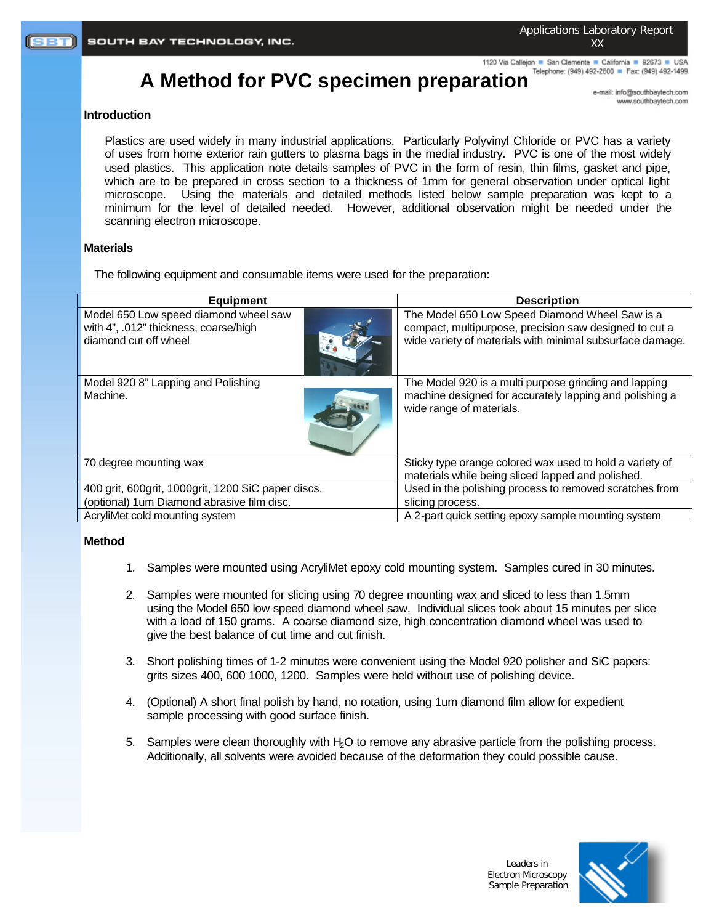Applications Laboratory Report XX

1120 Via Callejon ■ San Clemente ■ California ■ 92673 ■ USA

# A Method for PVC specimen preparation **Telephone:** (949) 492-2600 **F Fax: (949)** 492-1499

e-mail: info@southbaytech.com www.southbaytech.com

# **Introduction**

Plastics are used widely in many industrial applications. Particularly Polyvinyl Chloride or PVC has a variety of uses from home exterior rain gutters to plasma bags in the medial industry. PVC is one of the most widely used plastics. This application note details samples of PVC in the form of resin, thin films, gasket and pipe, which are to be prepared in cross section to a thickness of 1mm for general observation under optical light microscope. Using the materials and detailed methods listed below sample preparation was kept to a minimum for the level of detailed needed. However, additional observation might be needed under the scanning electron microscope.

# **Materials**

The following equipment and consumable items were used for the preparation:

| <b>Equipment</b>                                                                                        | <b>Description</b>                                                                                                                                                    |
|---------------------------------------------------------------------------------------------------------|-----------------------------------------------------------------------------------------------------------------------------------------------------------------------|
| Model 650 Low speed diamond wheel saw<br>with 4", .012" thickness, coarse/high<br>diamond cut off wheel | The Model 650 Low Speed Diamond Wheel Saw is a<br>compact, multipurpose, precision saw designed to cut a<br>wide variety of materials with minimal subsurface damage. |
| Model 920 8" Lapping and Polishing<br>Machine.                                                          | The Model 920 is a multi purpose grinding and lapping<br>machine designed for accurately lapping and polishing a<br>wide range of materials.                          |
| 70 degree mounting wax                                                                                  | Sticky type orange colored wax used to hold a variety of<br>materials while being sliced lapped and polished.                                                         |
| 400 grit, 600grit, 1000grit, 1200 SiC paper discs.                                                      | Used in the polishing process to removed scratches from                                                                                                               |
| (optional) 1um Diamond abrasive film disc.                                                              | slicing process.                                                                                                                                                      |
| AcryliMet cold mounting system                                                                          | A 2-part quick setting epoxy sample mounting system                                                                                                                   |

# **Method**

- 1. Samples were mounted using AcryliMet epoxy cold mounting system. Samples cured in 30 minutes.
- 2. Samples were mounted for slicing using 70 degree mounting wax and sliced to less than 1.5mm using the Model 650 low speed diamond wheel saw. Individual slices took about 15 minutes per slice with a load of 150 grams. A coarse diamond size, high concentration diamond wheel was used to give the best balance of cut time and cut finish.
- 3. Short polishing times of 1-2 minutes were convenient using the Model 920 polisher and SiC papers: grits sizes 400, 600 1000, 1200. Samples were held without use of polishing device.
- 4. (Optional) A short final polish by hand, no rotation, using 1um diamond film allow for expedient sample processing with good surface finish.
- 5. Samples were clean thoroughly with H2O to remove any abrasive particle from the polishing process. Additionally, all solvents were avoided because of the deformation they could possible cause.

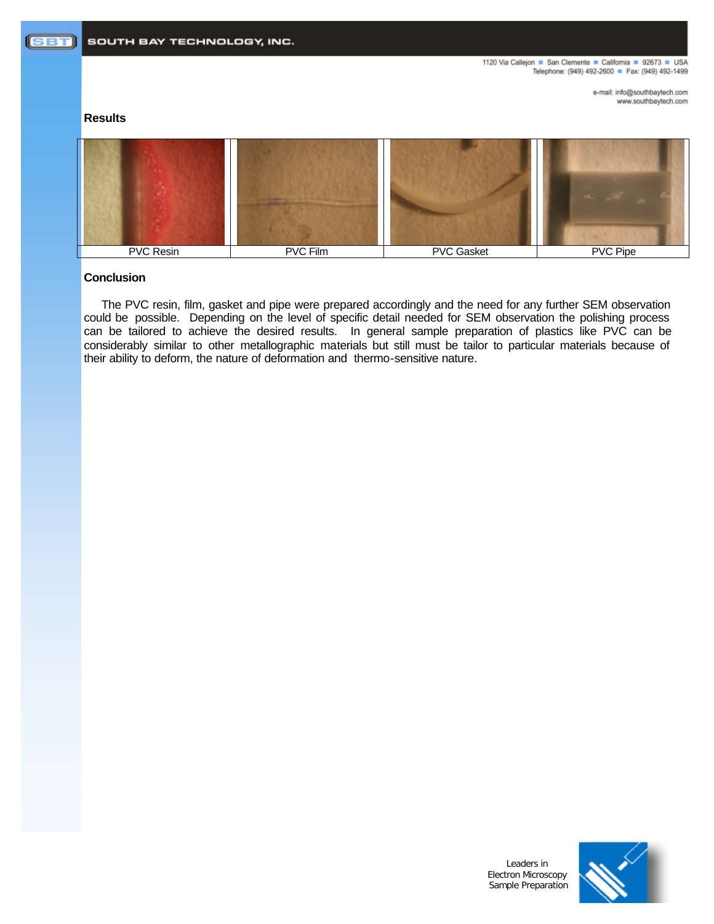1120 Via Callejon ■ San Clemente ■ California ■ 92673 ■ USA Telephone: (949) 492-2600 Fax: (949) 492-1499

> e-mail: info@southbaytech.com www.southbaytech.com

# **Results**



# **Conclusion**

The PVC resin, film, gasket and pipe were prepared accordingly and the need for any further SEM observation could be possible. Depending on the level of specific detail needed for SEM observation the polishing process can be tailored to achieve the desired results. In general sample preparation of plastics like PVC can be considerably similar to other metallographic materials but still must be tailor to particular materials because of their ability to deform, the nature of deformation and thermo-sensitive nature.